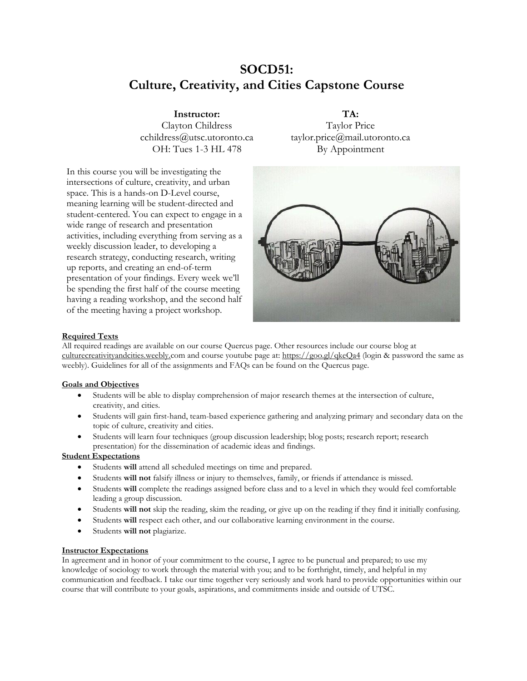# **SOCD51: Culture, Creativity, and Cities Capstone Course**

**Instructor:** Clayton Childress cchildress@utsc.utoronto.ca OH: Tues 1-3 HL 478

In this course you will be investigating the intersections of culture, creativity, and urban space. This is a hands-on D-Level course, meaning learning will be student-directed and student-centered. You can expect to engage in a wide range of research and presentation activities, including everything from serving as a weekly discussion leader, to developing a research strategy, conducting research, writing up reports, and creating an end-of-term presentation of your findings. Every week we'll be spending the first half of the course meeting having a reading workshop, and the second half of the meeting having a project workshop.

**TA:** Taylor Price taylor.price@mail.utoronto.ca By Appointment



# **Required Texts**

All required readings are available on our course Quercus page. Other resources include our course blog at [culturecreativityandcities.weebly.c](http://culturecreativityandcities.weebly.com/)om and course youtube page at:<https://goo.gl/qkeQa4> (login & password the same as weebly). Guidelines for all of the assignments and FAQs can be found on the Quercus page.

## **Goals and Objectives**

- Students will be able to display comprehension of major research themes at the intersection of culture, creativity, and cities.
- Students will gain first-hand, team-based experience gathering and analyzing primary and secondary data on the topic of culture, creativity and cities.
- Students will learn four techniques (group discussion leadership; blog posts; research report; research presentation) for the dissemination of academic ideas and findings.

## **Student Expectations**

- Students will attend all scheduled meetings on time and prepared.
- Students **will not** falsify illness or injury to themselves, family, or friends if attendance is missed.
- Students **will** complete the readings assigned before class and to a level in which they would feel comfortable leading a group discussion.
- Students **will not** skip the reading, skim the reading, or give up on the reading if they find it initially confusing.
- Students **will** respect each other, and our collaborative learning environment in the course.
- Students **will not** plagiarize.

## **Instructor Expectations**

In agreement and in honor of your commitment to the course, I agree to be punctual and prepared; to use my knowledge of sociology to work through the material with you; and to be forthright, timely, and helpful in my communication and feedback. I take our time together very seriously and work hard to provide opportunities within our course that will contribute to your goals, aspirations, and commitments inside and outside of UTSC.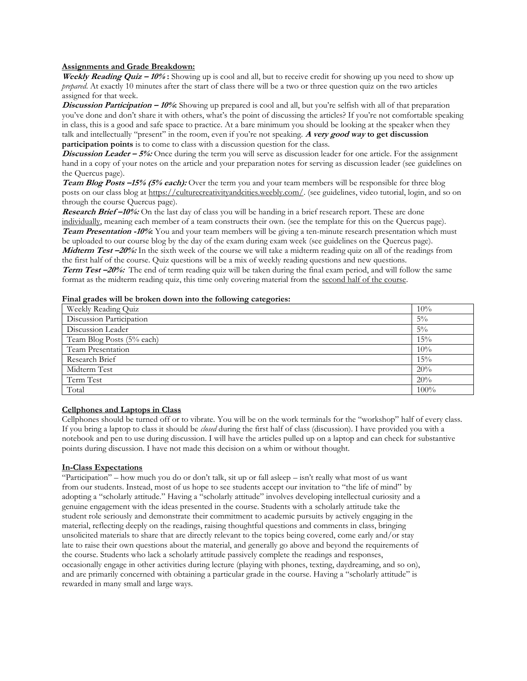#### **Assignments and Grade Breakdown:**

**Weekly Reading Quiz – 10% :** Showing up is cool and all, but to receive credit for showing up you need to show up *prepared*. At exactly 10 minutes after the start of class there will be a two or three question quiz on the two articles assigned for that week.

**Discussion Participation – 10%:** Showing up prepared is cool and all, but you're selfish with all of that preparation you've done and don't share it with others, what's the point of discussing the articles? If you're not comfortable speaking in class, this is a good and safe space to practice. At a bare minimum you should be looking at the speaker when they talk and intellectually "present" in the room, even if you're not speaking. **A very good way to get discussion participation points** is to come to class with a discussion question for the class.

**Discussion Leader – 5%:** Once during the term you will serve as discussion leader for one article. For the assignment hand in a copy of your notes on the article and your preparation notes for serving as discussion leader (see guidelines on the Quercus page).

**Team Blog Posts –15% (5% each):** Over the term you and your team members will be responsible for three blog posts on our class blog a[t https://culturecreativityandcities.weebly.com/.](https://culturecreativityandcities.weebly.s.com/) (see guidelines, video tutorial, login, and so on through the course Quercus page).

**Research Brief –10%:** On the last day of class you will be handing in a brief research report. These are done individually, meaning each member of a team constructs their own. (see the template for this on the Quercus page). **Team Presentation -10%:** You and your team members will be giving a ten-minute research presentation which must be uploaded to our course blog by the day of the exam during exam week (see guidelines on the Quercus page). **Midterm Test –20%:** In the sixth week of the course we will take a midterm reading quiz on all of the readings from the first half of the course. Quiz questions will be a mix of weekly reading questions and new questions. **Term Test –20%:** The end of term reading quiz will be taken during the final exam period, and will follow the same format as the midterm reading quiz, this time only covering material from the second half of the course.

#### **Final grades will be broken down into the following categories:**

| Weekly Reading Quiz       | 10%     |
|---------------------------|---------|
| Discussion Participation  | $5\%$   |
| Discussion Leader         | $5\%$   |
| Team Blog Posts (5% each) | 15%     |
| Team Presentation         | 10%     |
| Research Brief            | 15%     |
| Midterm Test              | 20%     |
| Term Test                 | 20%     |
| Total                     | $100\%$ |

#### **Cellphones and Laptops in Class**

Cellphones should be turned off or to vibrate. You will be on the work terminals for the "workshop" half of every class. If you bring a laptop to class it should be *closed* during the first half of class (discussion). I have provided you with a notebook and pen to use during discussion. I will have the articles pulled up on a laptop and can check for substantive points during discussion. I have not made this decision on a whim or without thought.

#### **In-Class Expectations**

"Participation" – how much you do or don't talk, sit up or fall asleep – isn't really what most of us want from our students. Instead, most of us hope to see students accept our invitation to "the life of mind" by adopting a "scholarly attitude." Having a "scholarly attitude" involves developing intellectual curiosity and a genuine engagement with the ideas presented in the course. Students with a scholarly attitude take the student role seriously and demonstrate their commitment to academic pursuits by actively engaging in the material, reflecting deeply on the readings, raising thoughtful questions and comments in class, bringing unsolicited materials to share that are directly relevant to the topics being covered, come early and/or stay late to raise their own questions about the material, and generally go above and beyond the requirements of the course. Students who lack a scholarly attitude passively complete the readings and responses, occasionally engage in other activities during lecture (playing with phones, texting, daydreaming, and so on), and are primarily concerned with obtaining a particular grade in the course. Having a "scholarly attitude" is rewarded in many small and large ways.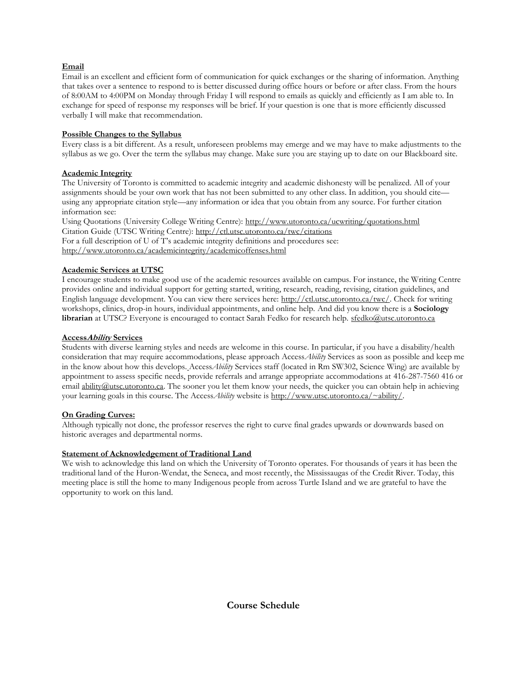# **Email**

Email is an excellent and efficient form of communication for quick exchanges or the sharing of information. Anything that takes over a sentence to respond to is better discussed during office hours or before or after class. From the hours of 8:00AM to 4:00PM on Monday through Friday I will respond to emails as quickly and efficiently as I am able to. In exchange for speed of response my responses will be brief. If your question is one that is more efficiently discussed verbally I will make that recommendation.

## **Possible Changes to the Syllabus**

Every class is a bit different. As a result, unforeseen problems may emerge and we may have to make adjustments to the syllabus as we go. Over the term the syllabus may change. Make sure you are staying up to date on our Blackboard site.

## **Academic Integrity**

The University of Toronto is committed to academic integrity and academic dishonesty will be penalized. All of your assignments should be your own work that has not been submitted to any other class. In addition, you should cite using any appropriate citation style—any information or idea that you obtain from any source. For further citation information see:

Using Quotations (University College Writing Centre):<http://www.utoronto.ca/ucwriting/quotations.html> Citation Guide (UTSC Writing Centre):<http://ctl.utsc.utoronto.ca/twc/citations> For a full description of U of T's academic integrity definitions and procedures see: <http://www.utoronto.ca/academicintegrity/academicoffenses.html>

# **Academic Services at UTSC**

I encourage students to make good use of the academic resources available on campus. For instance, the Writing Centre provides online and individual support for getting started, writing, research, reading, revising, citation guidelines, and English language development. You can view there services here: [http://ctl.utsc.utoronto.ca/twc/.](http://ctl.utsc.utoronto.ca/twc/) Check for writing workshops, clinics, drop-in hours, individual appointments, and online help. And did you know there is a **Sociology librarian** at UTSC? Everyone is encouraged to contact Sarah Fedko for research help. [sfedko@utsc.utoronto.ca](mailto:sfedko@utsc.utoronto.ca)

# **AccessAbility Services**

Students with diverse learning styles and needs are welcome in this course. In particular, if you have a disability/health consideration that may require accommodations, please approach Access*Ability* Services as soon as possible and keep me in the know about how this develops. Access*Ability* Services staff (located in Rm SW302, Science Wing) are available by appointment to assess specific needs, provide referrals and arrange appropriate accommodations at 416-287-7560 416 or email [ability@utsc.utoronto.ca.](mailto:ability@utsc.utoronto.ca) The sooner you let them know your needs, the quicker you can obtain help in achieving your learning goals in this course. The Access*Ability* website is [http://www.utsc.utoronto.ca/~ability/.](http://www.utsc.utoronto.ca/~ability/)

## **On Grading Curves:**

Although typically not done, the professor reserves the right to curve final grades upwards or downwards based on historic averages and departmental norms.

# **Statement of Acknowledgement of Traditional Land**

We wish to acknowledge this land on which the University of Toronto operates. For thousands of years it has been the traditional land of the Huron-Wendat, the Seneca, and most recently, the Mississaugas of the Credit River. Today, this meeting place is still the home to many Indigenous people from across Turtle Island and we are grateful to have the opportunity to work on this land.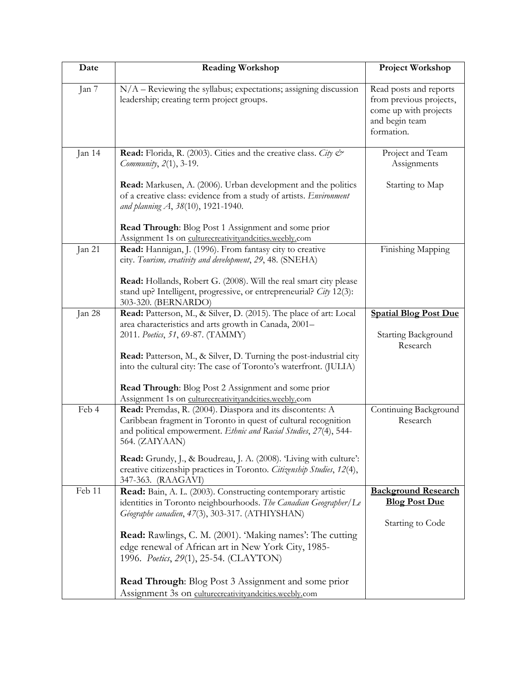| Date   | <b>Reading Workshop</b>                                                                                                                                                                                                                                                                                                                                                                                                                                                          | <b>Project Workshop</b>                                                                                    |
|--------|----------------------------------------------------------------------------------------------------------------------------------------------------------------------------------------------------------------------------------------------------------------------------------------------------------------------------------------------------------------------------------------------------------------------------------------------------------------------------------|------------------------------------------------------------------------------------------------------------|
| Jan 7  | $N/A$ – Reviewing the syllabus; expectations; assigning discussion<br>leadership; creating term project groups.                                                                                                                                                                                                                                                                                                                                                                  | Read posts and reports<br>from previous projects,<br>come up with projects<br>and begin team<br>formation. |
| Jan 14 | <b>Read:</b> Florida, R. (2003). Cities and the creative class. City $\mathcal{Q}^*$<br>Community, 2(1), 3-19.                                                                                                                                                                                                                                                                                                                                                                   | Project and Team<br>Assignments                                                                            |
|        | Read: Markusen, A. (2006). Urban development and the politics<br>of a creative class: evidence from a study of artists. Environment<br>and planning A, 38(10), 1921-1940.                                                                                                                                                                                                                                                                                                        | Starting to Map                                                                                            |
|        | Read Through: Blog Post 1 Assignment and some prior<br>Assignment 1s on culturecreativityandcities.weebly.com                                                                                                                                                                                                                                                                                                                                                                    |                                                                                                            |
| Jan 21 | Read: Hannigan, J. (1996). From fantasy city to creative<br>city. Tourism, creativity and development, 29, 48. (SNEHA)<br>Read: Hollands, Robert G. (2008). Will the real smart city please<br>stand up? Intelligent, progressive, or entrepreneurial? City 12(3):<br>303-320. (BERNARDO)                                                                                                                                                                                        | Finishing Mapping                                                                                          |
| Jan 28 | Read: Patterson, M., & Silver, D. (2015). The place of art: Local<br>area characteristics and arts growth in Canada, 2001-<br>2011. Poetics, 51, 69-87. (TAMMY)<br>Read: Patterson, M., & Silver, D. Turning the post-industrial city<br>into the cultural city: The case of Toronto's waterfront. (JULIA)<br>Read Through: Blog Post 2 Assignment and some prior<br>Assignment 1s on culturecreativityandcities.weebly.com                                                      | <b>Spatial Blog Post Due</b><br>Starting Background<br>Research                                            |
| Feb 4  | Read: Premdas, R. (2004). Diaspora and its discontents: A<br>Caribbean fragment in Toronto in quest of cultural recognition<br>and political empowerment. Ethnic and Racial Studies, 27(4), 544-<br>564. (ZAIYAAN)<br>Read: Grundy, J., & Boudreau, J. A. (2008). 'Living with culture':<br>creative citizenship practices in Toronto. Citizenship Studies, 12(4),<br>347-363. (RAAGAVI)                                                                                         | Continuing Background<br>Research                                                                          |
| Feb 11 | Read: Bain, A. L. (2003). Constructing contemporary artistic<br>identities in Toronto neighbourhoods. The Canadian Geographer/Le<br>Géographe canadien, 47(3), 303-317. (ATHIYSHAN)<br><b>Read:</b> Rawlings, C. M. (2001). 'Making names': The cutting<br>edge renewal of African art in New York City, 1985-<br>1996. Poetics, 29(1), 25-54. (CLAYTON)<br><b>Read Through:</b> Blog Post 3 Assignment and some prior<br>Assignment 3s on culturecreativityandcities.weebly.com | <b>Background Research</b><br><b>Blog Post Due</b><br>Starting to Code                                     |